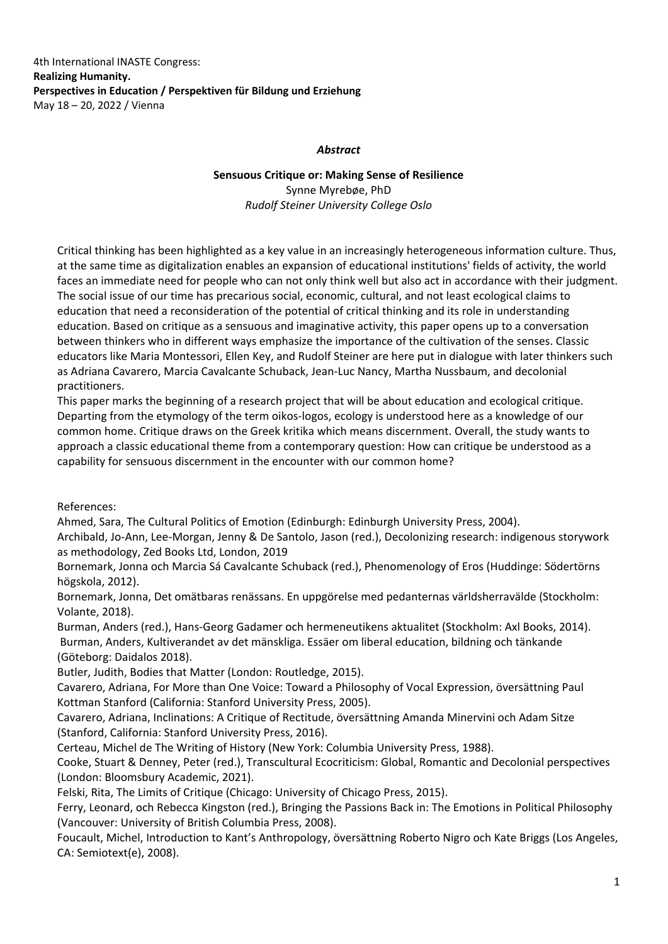4th International INASTE Congress: **Realizing Humanity. Perspectives in Education / Perspektiven für Bildung und Erziehung** May 18 – 20, 2022 / Vienna

## *Abstract*

## **Sensuous Critique or: Making Sense of Resilience** Synne Myrebøe, PhD *Rudolf Steiner University College Oslo*

Critical thinking has been highlighted as a key value in an increasingly heterogeneous information culture. Thus, at the same time as digitalization enables an expansion of educational institutions' fields of activity, the world faces an immediate need for people who can not only think well but also act in accordance with their judgment. The social issue of our time has precarious social, economic, cultural, and not least ecological claims to education that need a reconsideration of the potential of critical thinking and its role in understanding education. Based on critique as a sensuous and imaginative activity, this paper opens up to a conversation between thinkers who in different ways emphasize the importance of the cultivation of the senses. Classic educators like Maria Montessori, Ellen Key, and Rudolf Steiner are here put in dialogue with later thinkers such as Adriana Cavarero, Marcia Cavalcante Schuback, Jean‐Luc Nancy, Martha Nussbaum, and decolonial practitioners.

This paper marks the beginning of a research project that will be about education and ecological critique. Departing from the etymology of the term oikos‐logos, ecology is understood here as a knowledge of our common home. Critique draws on the Greek kritika which means discernment. Overall, the study wants to approach a classic educational theme from a contemporary question: How can critique be understood as a capability for sensuous discernment in the encounter with our common home?

References:

Ahmed, Sara, The Cultural Politics of Emotion (Edinburgh: Edinburgh University Press, 2004).

Archibald, Jo‐Ann, Lee‐Morgan, Jenny & De Santolo, Jason (red.), Decolonizing research: indigenous storywork as methodology, Zed Books Ltd, London, 2019

Bornemark, Jonna och Marcia Sá Cavalcante Schuback (red.), Phenomenology of Eros (Huddinge: Södertörns högskola, 2012).

Bornemark, Jonna, Det omätbaras renässans. En uppgörelse med pedanternas världsherravälde (Stockholm: Volante, 2018).

Burman, Anders (red.), Hans‐Georg Gadamer och hermeneutikens aktualitet (Stockholm: Axl Books, 2014). Burman, Anders, Kultiverandet av det mänskliga. Essäer om liberal education, bildning och tänkande (Göteborg: Daidalos 2018).

Butler, Judith, Bodies that Matter (London: Routledge, 2015).

Cavarero, Adriana, For More than One Voice: Toward a Philosophy of Vocal Expression, översättning Paul Kottman Stanford (California: Stanford University Press, 2005).

Cavarero, Adriana, Inclinations: A Critique of Rectitude, översättning Amanda Minervini och Adam Sitze (Stanford, California: Stanford University Press, 2016).

Certeau, Michel de The Writing of History (New York: Columbia University Press, 1988).

Cooke, Stuart & Denney, Peter (red.), Transcultural Ecocriticism: Global, Romantic and Decolonial perspectives (London: Bloomsbury Academic, 2021).

Felski, Rita, The Limits of Critique (Chicago: University of Chicago Press, 2015).

Ferry, Leonard, och Rebecca Kingston (red.), Bringing the Passions Back in: The Emotions in Political Philosophy (Vancouver: University of British Columbia Press, 2008).

Foucault, Michel, Introduction to Kant's Anthropology, översättning Roberto Nigro och Kate Briggs (Los Angeles, CA: Semiotext(e), 2008).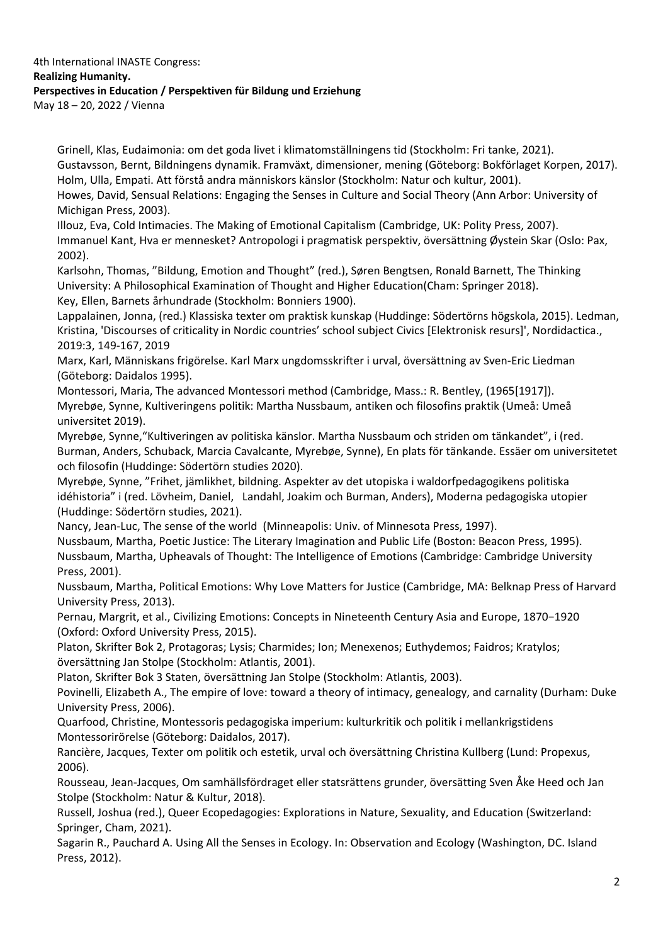## 4th International INASTE Congress: **Realizing Humanity. Perspectives in Education / Perspektiven für Bildung und Erziehung** May 18 – 20, 2022 / Vienna

Grinell, Klas, Eudaimonia: om det goda livet i klimatomställningens tid (Stockholm: Fri tanke, 2021). Gustavsson, Bernt, Bildningens dynamik. Framväxt, dimensioner, mening (Göteborg: Bokförlaget Korpen, 2017). Holm, Ulla, Empati. Att förstå andra människors känslor (Stockholm: Natur och kultur, 2001).

Howes, David, Sensual Relations: Engaging the Senses in Culture and Social Theory (Ann Arbor: University of Michigan Press, 2003).

Illouz, Eva, Cold Intimacies. The Making of Emotional Capitalism (Cambridge, UK: Polity Press, 2007). Immanuel Kant, Hva er mennesket? Antropologi i pragmatisk perspektiv, översättning Øystein Skar (Oslo: Pax, 2002).

Karlsohn, Thomas, "Bildung, Emotion and Thought" (red.), Søren Bengtsen, Ronald Barnett, The Thinking University: A Philosophical Examination of Thought and Higher Education(Cham: Springer 2018). Key, Ellen, Barnets århundrade (Stockholm: Bonniers 1900).

Lappalainen, Jonna, (red.) Klassiska texter om praktisk kunskap (Huddinge: Södertörns högskola, 2015). Ledman, Kristina, 'Discourses of criticality in Nordic countries' school subject Civics [Elektronisk resurs]', Nordidactica., 2019:3, 149‐167, 2019

Marx, Karl, Människans frigörelse. Karl Marx ungdomsskrifter i urval, översättning av Sven‐Eric Liedman (Göteborg: Daidalos 1995).

Montessori, Maria, The advanced Montessori method (Cambridge, Mass.: R. Bentley, (1965[1917]). Myrebøe, Synne, Kultiveringens politik: Martha Nussbaum, antiken och filosofins praktik (Umeå: Umeå universitet 2019).

Myrebøe, Synne,"Kultiveringen av politiska känslor. Martha Nussbaum och striden om tänkandet", i (red. Burman, Anders, Schuback, Marcia Cavalcante, Myrebøe, Synne), En plats för tänkande. Essäer om universitetet och filosofin (Huddinge: Södertörn studies 2020).

Myrebøe, Synne, "Frihet, jämlikhet, bildning. Aspekter av det utopiska i waldorfpedagogikens politiska idéhistoria" i (red. Lövheim, Daniel, Landahl, Joakim och Burman, Anders), Moderna pedagogiska utopier (Huddinge: Södertörn studies, 2021).

Nancy, Jean‐Luc, The sense of the world (Minneapolis: Univ. of Minnesota Press, 1997).

Nussbaum, Martha, Poetic Justice: The Literary Imagination and Public Life (Boston: Beacon Press, 1995). Nussbaum, Martha, Upheavals of Thought: The Intelligence of Emotions (Cambridge: Cambridge University Press, 2001).

Nussbaum, Martha, Political Emotions: Why Love Matters for Justice (Cambridge, MA: Belknap Press of Harvard University Press, 2013).

Pernau, Margrit, et al., Civilizing Emotions: Concepts in Nineteenth Century Asia and Europe, 1870−1920 (Oxford: Oxford University Press, 2015).

Platon, Skrifter Bok 2, Protagoras; Lysis; Charmides; Ion; Menexenos; Euthydemos; Faidros; Kratylos; översättning Jan Stolpe (Stockholm: Atlantis, 2001).

Platon, Skrifter Bok 3 Staten, översättning Jan Stolpe (Stockholm: Atlantis, 2003).

Povinelli, Elizabeth A., The empire of love: toward a theory of intimacy, genealogy, and carnality (Durham: Duke University Press, 2006).

Quarfood, Christine, Montessoris pedagogiska imperium: kulturkritik och politik i mellankrigstidens Montessorirörelse (Göteborg: Daidalos, 2017).

Rancière, Jacques, Texter om politik och estetik, urval och översättning Christina Kullberg (Lund: Propexus, 2006).

Rousseau, Jean‐Jacques, Om samhällsfördraget eller statsrättens grunder, översätting Sven Åke Heed och Jan Stolpe (Stockholm: Natur & Kultur, 2018).

Russell, Joshua (red.), Queer Ecopedagogies: Explorations in Nature, Sexuality, and Education (Switzerland: Springer, Cham, 2021).

Sagarin R., Pauchard A. Using All the Senses in Ecology. In: Observation and Ecology (Washington, DC. Island Press, 2012).